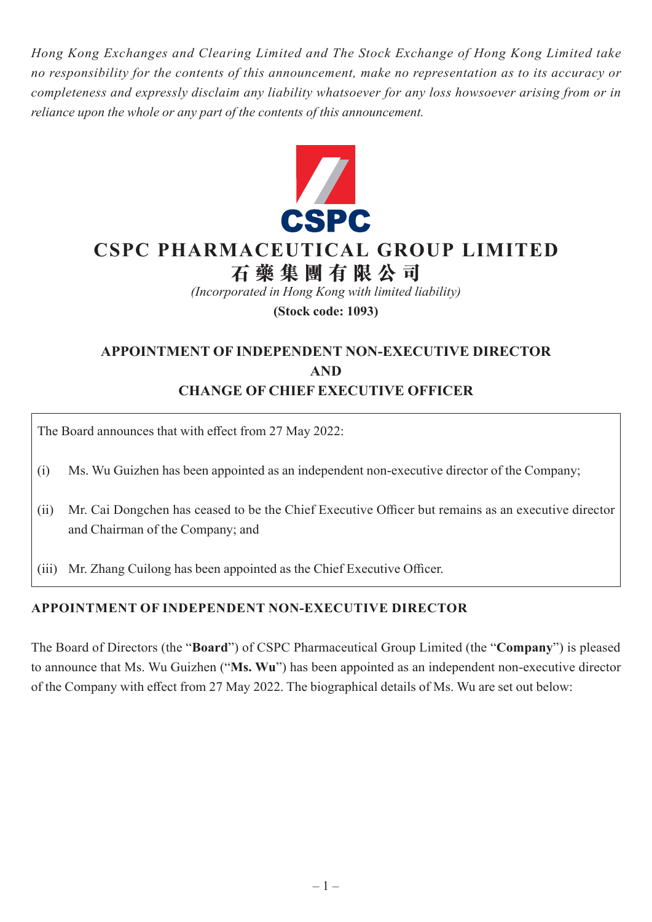*Hong Kong Exchanges and Clearing Limited and The Stock Exchange of Hong Kong Limited take no responsibility for the contents of this announcement, make no representation as to its accuracy or completeness and expressly disclaim any liability whatsoever for any loss howsoever arising from or in reliance upon the whole or any part of the contents of this announcement.*



# **CSPC PHARMACEUTICAL GROUP LIMITED**

# **石藥集團 有 限公司**

*(Incorporated in Hong Kong with limited liability)*

**(Stock code: 1093)**

## **APPOINTMENT OF INDEPENDENT NON-EXECUTIVE DIRECTOR AND CHANGE OF CHIEF EXECUTIVE OFFICER**

The Board announces that with effect from 27 May 2022:

(i) Ms. Wu Guizhen has been appointed as an independent non-executive director of the Company;

- (ii) Mr. Cai Dongchen has ceased to be the Chief Executive Officer but remains as an executive director and Chairman of the Company; and
- (iii) Mr. Zhang Cuilong has been appointed as the Chief Executive Officer.

### **APPOINTMENT OF INDEPENDENT NON-EXECUTIVE DIRECTOR**

The Board of Directors (the "**Board**") of CSPC Pharmaceutical Group Limited (the "**Company**") is pleased to announce that Ms. Wu Guizhen ("**Ms. Wu**") has been appointed as an independent non-executive director of the Company with effect from 27 May 2022. The biographical details of Ms. Wu are set out below: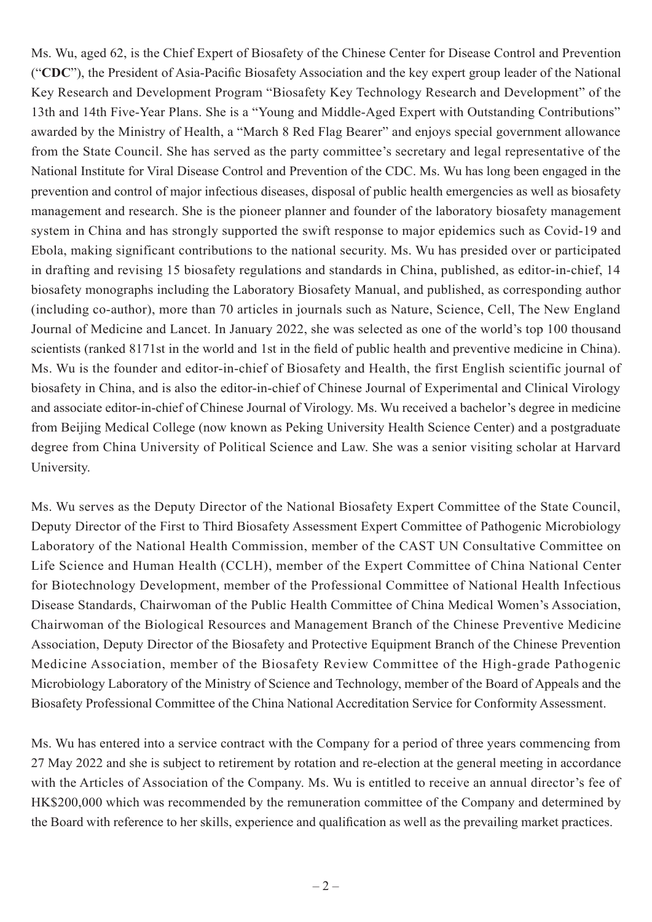Ms. Wu, aged 62, is the Chief Expert of Biosafety of the Chinese Center for Disease Control and Prevention ("**CDC**"), the President of Asia-Pacific Biosafety Association and the key expert group leader of the National Key Research and Development Program "Biosafety Key Technology Research and Development" of the 13th and 14th Five-Year Plans. She is a "Young and Middle-Aged Expert with Outstanding Contributions" awarded by the Ministry of Health, a "March 8 Red Flag Bearer" and enjoys special government allowance from the State Council. She has served as the party committee's secretary and legal representative of the National Institute for Viral Disease Control and Prevention of the CDC. Ms. Wu has long been engaged in the prevention and control of major infectious diseases, disposal of public health emergencies as well as biosafety management and research. She is the pioneer planner and founder of the laboratory biosafety management system in China and has strongly supported the swift response to major epidemics such as Covid-19 and Ebola, making significant contributions to the national security. Ms. Wu has presided over or participated in drafting and revising 15 biosafety regulations and standards in China, published, as editor-in-chief, 14 biosafety monographs including the Laboratory Biosafety Manual, and published, as corresponding author (including co-author), more than 70 articles in journals such as Nature, Science, Cell, The New England Journal of Medicine and Lancet. In January 2022, she was selected as one of the world's top 100 thousand scientists (ranked 8171st in the world and 1st in the field of public health and preventive medicine in China). Ms. Wu is the founder and editor-in-chief of Biosafety and Health, the first English scientific journal of biosafety in China, and is also the editor-in-chief of Chinese Journal of Experimental and Clinical Virology and associate editor-in-chief of Chinese Journal of Virology. Ms. Wu received a bachelor's degree in medicine from Beijing Medical College (now known as Peking University Health Science Center) and a postgraduate degree from China University of Political Science and Law. She was a senior visiting scholar at Harvard University.

Ms. Wu serves as the Deputy Director of the National Biosafety Expert Committee of the State Council, Deputy Director of the First to Third Biosafety Assessment Expert Committee of Pathogenic Microbiology Laboratory of the National Health Commission, member of the CAST UN Consultative Committee on Life Science and Human Health (CCLH), member of the Expert Committee of China National Center for Biotechnology Development, member of the Professional Committee of National Health Infectious Disease Standards, Chairwoman of the Public Health Committee of China Medical Women's Association, Chairwoman of the Biological Resources and Management Branch of the Chinese Preventive Medicine Association, Deputy Director of the Biosafety and Protective Equipment Branch of the Chinese Prevention Medicine Association, member of the Biosafety Review Committee of the High-grade Pathogenic Microbiology Laboratory of the Ministry of Science and Technology, member of the Board of Appeals and the Biosafety Professional Committee of the China National Accreditation Service for Conformity Assessment.

Ms. Wu has entered into a service contract with the Company for a period of three years commencing from 27 May 2022 and she is subject to retirement by rotation and re-election at the general meeting in accordance with the Articles of Association of the Company. Ms. Wu is entitled to receive an annual director's fee of HK\$200,000 which was recommended by the remuneration committee of the Company and determined by the Board with reference to her skills, experience and qualification as well as the prevailing market practices.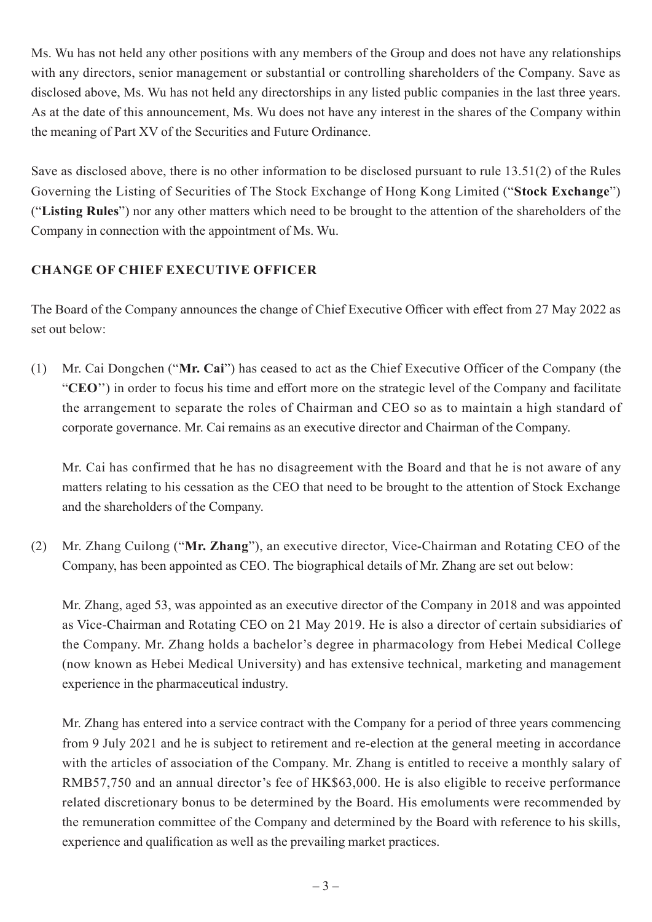Ms. Wu has not held any other positions with any members of the Group and does not have any relationships with any directors, senior management or substantial or controlling shareholders of the Company. Save as disclosed above, Ms. Wu has not held any directorships in any listed public companies in the last three years. As at the date of this announcement, Ms. Wu does not have any interest in the shares of the Company within the meaning of Part XV of the Securities and Future Ordinance.

Save as disclosed above, there is no other information to be disclosed pursuant to rule 13.51(2) of the Rules Governing the Listing of Securities of The Stock Exchange of Hong Kong Limited ("**Stock Exchange**") ("**Listing Rules**") nor any other matters which need to be brought to the attention of the shareholders of the Company in connection with the appointment of Ms. Wu.

### **CHANGE OF CHIEF EXECUTIVE OFFICER**

The Board of the Company announces the change of Chief Executive Officer with effect from 27 May 2022 as set out below:

(1) Mr. Cai Dongchen ("**Mr. Cai**") has ceased to act as the Chief Executive Officer of the Company (the "**CEO**'') in order to focus his time and effort more on the strategic level of the Company and facilitate the arrangement to separate the roles of Chairman and CEO so as to maintain a high standard of corporate governance. Mr. Cai remains as an executive director and Chairman of the Company.

Mr. Cai has confirmed that he has no disagreement with the Board and that he is not aware of any matters relating to his cessation as the CEO that need to be brought to the attention of Stock Exchange and the shareholders of the Company.

(2) Mr. Zhang Cuilong ("**Mr. Zhang**"), an executive director, Vice-Chairman and Rotating CEO of the Company, has been appointed as CEO. The biographical details of Mr. Zhang are set out below:

Mr. Zhang, aged 53, was appointed as an executive director of the Company in 2018 and was appointed as Vice-Chairman and Rotating CEO on 21 May 2019. He is also a director of certain subsidiaries of the Company. Mr. Zhang holds a bachelor's degree in pharmacology from Hebei Medical College (now known as Hebei Medical University) and has extensive technical, marketing and management experience in the pharmaceutical industry.

Mr. Zhang has entered into a service contract with the Company for a period of three years commencing from 9 July 2021 and he is subject to retirement and re-election at the general meeting in accordance with the articles of association of the Company. Mr. Zhang is entitled to receive a monthly salary of RMB57,750 and an annual director's fee of HK\$63,000. He is also eligible to receive performance related discretionary bonus to be determined by the Board. His emoluments were recommended by the remuneration committee of the Company and determined by the Board with reference to his skills, experience and qualification as well as the prevailing market practices.